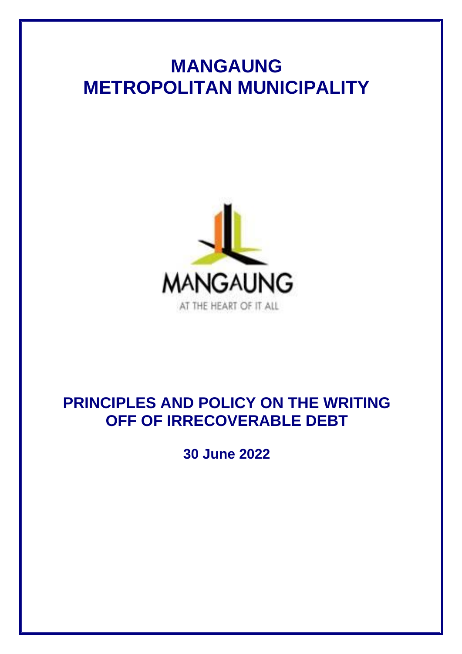# **MANGAUNG METROPOLITAN MUNICIPALITY**



## **PRINCIPLES AND POLICY ON THE WRITING OFF OF IRRECOVERABLE DEBT**

**30 June 2022**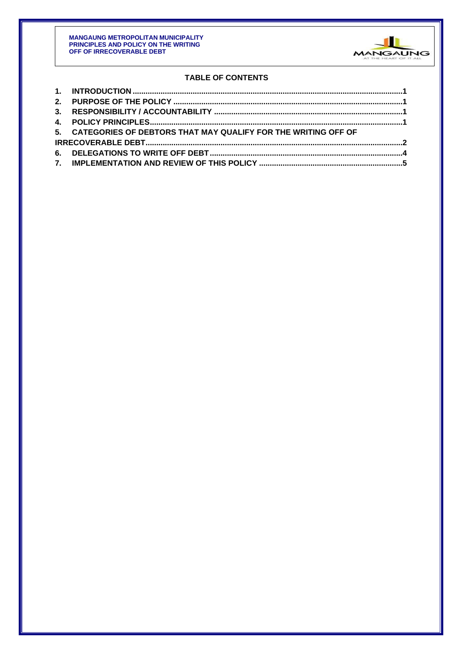

## **TABLE OF CONTENTS**

| 5. CATEGORIES OF DEBTORS THAT MAY QUALIFY FOR THE WRITING OFF OF |  |
|------------------------------------------------------------------|--|
|                                                                  |  |
|                                                                  |  |
|                                                                  |  |
|                                                                  |  |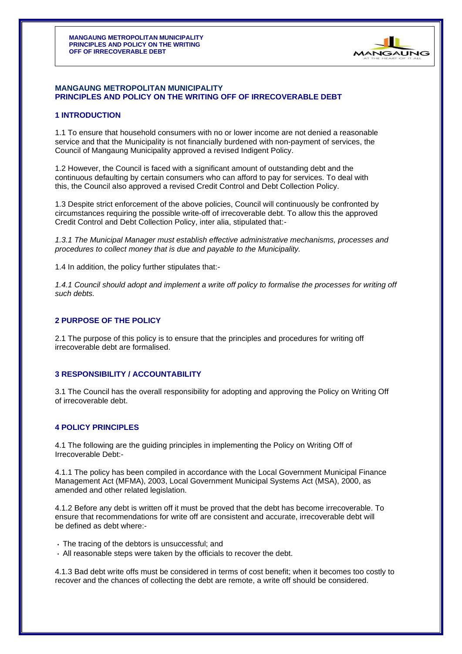

#### **MANGAUNG METROPOLITAN MUNICIPALITY PRINCIPLES AND POLICY ON THE WRITING OFF OF IRRECOVERABLE DEBT**

### **1 INTRODUCTION**

1.1 To ensure that household consumers with no or lower income are not denied a reasonable service and that the Municipality is not financially burdened with non-payment of services, the Council of Mangaung Municipality approved a revised Indigent Policy.

1.2 However, the Council is faced with a significant amount of outstanding debt and the continuous defaulting by certain consumers who can afford to pay for services. To deal with this, the Council also approved a revised Credit Control and Debt Collection Policy.

1.3 Despite strict enforcement of the above policies, Council will continuously be confronted by circumstances requiring the possible write-off of irrecoverable debt. To allow this the approved Credit Control and Debt Collection Policy, inter alia, stipulated that:-

*1.3.1 The Municipal Manager must establish effective administrative mechanisms, processes and procedures to collect money that is due and payable to the Municipality.*

1.4 In addition, the policy further stipulates that:-

*1.4.1 Council should adopt and implement a write off policy to formalise the processes for writing off such debts.*

#### **2 PURPOSE OF THE POLICY**

2.1 The purpose of this policy is to ensure that the principles and procedures for writing off irrecoverable debt are formalised.

#### **3 RESPONSIBILITY / ACCOUNTABILITY**

3.1 The Council has the overall responsibility for adopting and approving the Policy on Writing Off of irrecoverable debt.

#### **4 POLICY PRINCIPLES**

4.1 The following are the guiding principles in implementing the Policy on Writing Off of Irrecoverable Debt:-

4.1.1 The policy has been compiled in accordance with the Local Government Municipal Finance Management Act (MFMA), 2003, Local Government Municipal Systems Act (MSA), 2000, as amended and other related legislation.

4.1.2 Before any debt is written off it must be proved that the debt has become irrecoverable. To ensure that recommendations for write off are consistent and accurate, irrecoverable debt will be defined as debt where:-

- The tracing of the debtors is unsuccessful; and
- All reasonable steps were taken by the officials to recover the debt.

4.1.3 Bad debt write offs must be considered in terms of cost benefit; when it becomes too costly to recover and the chances of collecting the debt are remote, a write off should be considered.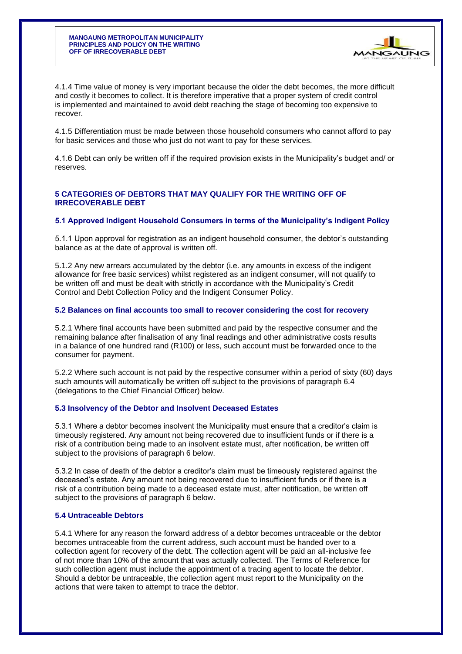

4.1.4 Time value of money is very important because the older the debt becomes, the more difficult and costly it becomes to collect. It is therefore imperative that a proper system of credit control is implemented and maintained to avoid debt reaching the stage of becoming too expensive to recover.

4.1.5 Differentiation must be made between those household consumers who cannot afford to pay for basic services and those who just do not want to pay for these services.

4.1.6 Debt can only be written off if the required provision exists in the Municipality's budget and/ or reserves.

#### **5 CATEGORIES OF DEBTORS THAT MAY QUALIFY FOR THE WRITING OFF OF IRRECOVERABLE DEBT**

#### **5.1 Approved Indigent Household Consumers in terms of the Municipality's Indigent Policy**

5.1.1 Upon approval for registration as an indigent household consumer, the debtor's outstanding balance as at the date of approval is written off.

5.1.2 Any new arrears accumulated by the debtor (i.e. any amounts in excess of the indigent allowance for free basic services) whilst registered as an indigent consumer, will not qualify to be written off and must be dealt with strictly in accordance with the Municipality's Credit Control and Debt Collection Policy and the Indigent Consumer Policy.

#### **5.2 Balances on final accounts too small to recover considering the cost for recovery**

5.2.1 Where final accounts have been submitted and paid by the respective consumer and the remaining balance after finalisation of any final readings and other administrative costs results in a balance of one hundred rand (R100) or less, such account must be forwarded once to the consumer for payment.

5.2.2 Where such account is not paid by the respective consumer within a period of sixty (60) days such amounts will automatically be written off subject to the provisions of paragraph 6.4 (delegations to the Chief Financial Officer) below.

#### **5.3 Insolvency of the Debtor and Insolvent Deceased Estates**

5.3.1 Where a debtor becomes insolvent the Municipality must ensure that a creditor's claim is timeously registered. Any amount not being recovered due to insufficient funds or if there is a risk of a contribution being made to an insolvent estate must, after notification, be written off subject to the provisions of paragraph 6 below.

5.3.2 In case of death of the debtor a creditor's claim must be timeously registered against the deceased's estate. Any amount not being recovered due to insufficient funds or if there is a risk of a contribution being made to a deceased estate must, after notification, be written off subject to the provisions of paragraph 6 below.

#### **5.4 Untraceable Debtors**

5.4.1 Where for any reason the forward address of a debtor becomes untraceable or the debtor becomes untraceable from the current address, such account must be handed over to a collection agent for recovery of the debt. The collection agent will be paid an all-inclusive fee of not more than 10% of the amount that was actually collected. The Terms of Reference for such collection agent must include the appointment of a tracing agent to locate the debtor. Should a debtor be untraceable, the collection agent must report to the Municipality on the actions that were taken to attempt to trace the debtor.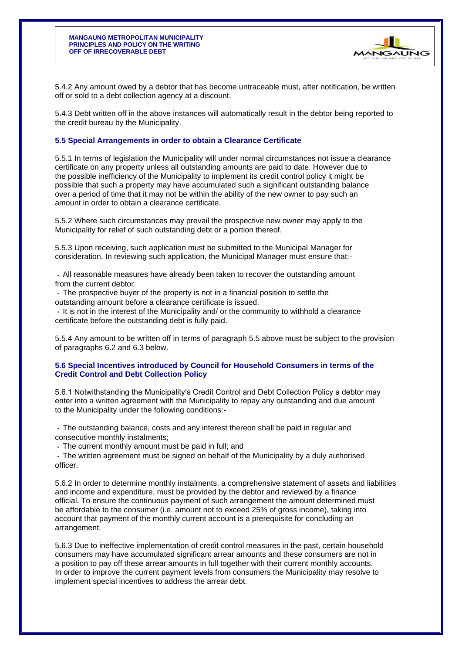

5.4.2 Any amount owed by a debtor that has become untraceable must, after notification, be written off or sold to a debt collection agency at a discount.

5.4.3 Debt written off in the above instances will automatically result in the debtor being reported to the credit bureau by the Municipality.

#### **5.5 Special Arrangements in order to obtain a Clearance Certificate**

5.5.1 In terms of legislation the Municipality will under normal circumstances not issue a clearance certificate on any property unless all outstanding amounts are paid to date. However due to the possible inefficiency of the Municipality to implement its credit control policy it might be possible that such a property may have accumulated such a significant outstanding balance over a period of time that it may not be within the ability of the new owner to pay such an amount in order to obtain a clearance certificate.

5.5.2 Where such circumstances may prevail the prospective new owner may apply to the Municipality for relief of such outstanding debt or a portion thereof.

5.5.3 Upon receiving, such application must be submitted to the Municipal Manager for consideration. In reviewing such application, the Municipal Manager must ensure that:-

All reasonable measures have already been taken to recover the outstanding amount from the current debtor.

The prospective buyer of the property is not in a financial position to settle the outstanding amount before a clearance certificate is issued.

 $\cdot$  It is not in the interest of the Municipality and/ or the community to withhold a clearance certificate before the outstanding debt is fully paid.

5.5.4 Any amount to be written off in terms of paragraph 5.5 above must be subject to the provision of paragraphs 6.2 and 6.3 below.

#### **5.6 Special Incentives introduced by Council for Household Consumers in terms of the Credit Control and Debt Collection Policy**

5.6.1 Notwithstanding the Municipality's Credit Control and Debt Collection Policy a debtor may enter into a written agreement with the Municipality to repay any outstanding and due amount to the Municipality under the following conditions:-

The outstanding balance, costs and any interest thereon shall be paid in regular and consecutive monthly instalments;

The current monthly amount must be paid in full; and

The written agreement must be signed on behalf of the Municipality by a duly authorised officer.

5.6.2 In order to determine monthly instalments, a comprehensive statement of assets and liabilities and income and expenditure, must be provided by the debtor and reviewed by a finance official. To ensure the continuous payment of such arrangement the amount determined must be affordable to the consumer (i.e. amount not to exceed 25% of gross income), taking into account that payment of the monthly current account is a prerequisite for concluding an arrangement.

5.6.3 Due to ineffective implementation of credit control measures in the past, certain household consumers may have accumulated significant arrear amounts and these consumers are not in a position to pay off these arrear amounts in full together with their current monthly accounts. In order to improve the current payment levels from consumers the Municipality may resolve to implement special incentives to address the arrear debt.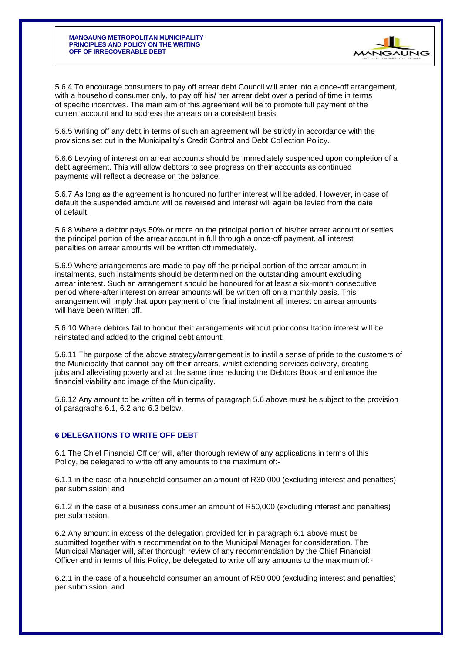#### **MANGAUNG METROPOLITAN MUNICIPALITY PRINCIPLES AND POLICY ON THE WRITING OFF OF IRRECOVERABLE DEBT**



5.6.4 To encourage consumers to pay off arrear debt Council will enter into a once-off arrangement, with a household consumer only, to pay off his/ her arrear debt over a period of time in terms of specific incentives. The main aim of this agreement will be to promote full payment of the current account and to address the arrears on a consistent basis.

5.6.5 Writing off any debt in terms of such an agreement will be strictly in accordance with the provisions set out in the Municipality's Credit Control and Debt Collection Policy.

5.6.6 Levying of interest on arrear accounts should be immediately suspended upon completion of a debt agreement. This will allow debtors to see progress on their accounts as continued payments will reflect a decrease on the balance.

5.6.7 As long as the agreement is honoured no further interest will be added. However, in case of default the suspended amount will be reversed and interest will again be levied from the date of default.

5.6.8 Where a debtor pays 50% or more on the principal portion of his/her arrear account or settles the principal portion of the arrear account in full through a once-off payment, all interest penalties on arrear amounts will be written off immediately.

5.6.9 Where arrangements are made to pay off the principal portion of the arrear amount in instalments, such instalments should be determined on the outstanding amount excluding arrear interest. Such an arrangement should be honoured for at least a six-month consecutive period where-after interest on arrear amounts will be written off on a monthly basis. This arrangement will imply that upon payment of the final instalment all interest on arrear amounts will have been written off.

5.6.10 Where debtors fail to honour their arrangements without prior consultation interest will be reinstated and added to the original debt amount.

5.6.11 The purpose of the above strategy/arrangement is to instil a sense of pride to the customers of the Municipality that cannot pay off their arrears, whilst extending services delivery, creating jobs and alleviating poverty and at the same time reducing the Debtors Book and enhance the financial viability and image of the Municipality.

5.6.12 Any amount to be written off in terms of paragraph 5.6 above must be subject to the provision of paragraphs 6.1, 6.2 and 6.3 below.

#### **6 DELEGATIONS TO WRITE OFF DEBT**

6.1 The Chief Financial Officer will, after thorough review of any applications in terms of this Policy, be delegated to write off any amounts to the maximum of:-

6.1.1 in the case of a household consumer an amount of R30,000 (excluding interest and penalties) per submission; and

6.1.2 in the case of a business consumer an amount of R50,000 (excluding interest and penalties) per submission.

6.2 Any amount in excess of the delegation provided for in paragraph 6.1 above must be submitted together with a recommendation to the Municipal Manager for consideration. The Municipal Manager will, after thorough review of any recommendation by the Chief Financial Officer and in terms of this Policy, be delegated to write off any amounts to the maximum of:-

6.2.1 in the case of a household consumer an amount of R50,000 (excluding interest and penalties) per submission; and